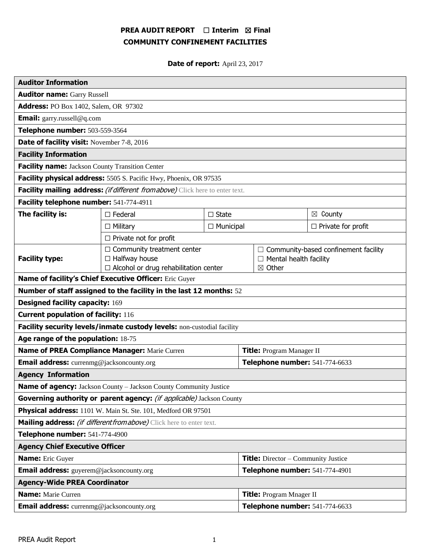# **PREA AUDIT REPORT** ☐ **Interim** ☒ **Final COMMUNITY CONFINEMENT FACILITIES**

**Date of report:** April 23, 2017

| <b>Auditor Information</b>                                                           |                                                                                                           |                  |                                            |                                                                                    |                           |
|--------------------------------------------------------------------------------------|-----------------------------------------------------------------------------------------------------------|------------------|--------------------------------------------|------------------------------------------------------------------------------------|---------------------------|
| <b>Auditor name: Garry Russell</b>                                                   |                                                                                                           |                  |                                            |                                                                                    |                           |
| Address: PO Box 1402, Salem, OR 97302                                                |                                                                                                           |                  |                                            |                                                                                    |                           |
| <b>Email:</b> garry.russell@q.com                                                    |                                                                                                           |                  |                                            |                                                                                    |                           |
| Telephone number: 503-559-3564                                                       |                                                                                                           |                  |                                            |                                                                                    |                           |
| Date of facility visit: November 7-8, 2016                                           |                                                                                                           |                  |                                            |                                                                                    |                           |
| <b>Facility Information</b>                                                          |                                                                                                           |                  |                                            |                                                                                    |                           |
| <b>Facility name:</b> Jackson County Transition Center                               |                                                                                                           |                  |                                            |                                                                                    |                           |
| Facility physical address: 5505 S. Pacific Hwy, Phoenix, OR 97535                    |                                                                                                           |                  |                                            |                                                                                    |                           |
| Facility mailing address: <i>(if different from above)</i> Click here to enter text. |                                                                                                           |                  |                                            |                                                                                    |                           |
| Facility telephone number: 541-774-4911                                              |                                                                                                           |                  |                                            |                                                                                    |                           |
| The facility is:                                                                     | $\square$ Federal                                                                                         | $\Box$ State     |                                            |                                                                                    | $\boxtimes$ County        |
|                                                                                      | $\Box$ Military                                                                                           | $\Box$ Municipal |                                            |                                                                                    | $\Box$ Private for profit |
| $\Box$ Private not for profit                                                        |                                                                                                           |                  |                                            |                                                                                    |                           |
| <b>Facility type:</b>                                                                | $\Box$ Community treatment center<br>$\Box$ Halfway house<br>$\Box$ Alcohol or drug rehabilitation center |                  |                                            | □ Community-based confinement facility<br>$\Box$ Mental health facility<br>⊠ Other |                           |
| Name of facility's Chief Executive Officer: Eric Guyer                               |                                                                                                           |                  |                                            |                                                                                    |                           |
| Number of staff assigned to the facility in the last 12 months: 52                   |                                                                                                           |                  |                                            |                                                                                    |                           |
| <b>Designed facility capacity: 169</b>                                               |                                                                                                           |                  |                                            |                                                                                    |                           |
| <b>Current population of facility: 116</b>                                           |                                                                                                           |                  |                                            |                                                                                    |                           |
| Facility security levels/inmate custody levels: non-custodial facility               |                                                                                                           |                  |                                            |                                                                                    |                           |
| Age range of the population: 18-75                                                   |                                                                                                           |                  |                                            |                                                                                    |                           |
| Name of PREA Compliance Manager: Marie Curren                                        |                                                                                                           |                  | <b>Title:</b> Program Manager II           |                                                                                    |                           |
| Email address: currenmg@jacksoncounty.org                                            |                                                                                                           |                  | Telephone number: 541-774-6633             |                                                                                    |                           |
| <b>Agency Information</b>                                                            |                                                                                                           |                  |                                            |                                                                                    |                           |
| <b>Name of agency:</b> Jackson County - Jackson County Community Justice             |                                                                                                           |                  |                                            |                                                                                    |                           |
| Governing authority or parent agency: (if applicable) Jackson County                 |                                                                                                           |                  |                                            |                                                                                    |                           |
| Physical address: 1101 W. Main St. Ste. 101, Medford OR 97501                        |                                                                                                           |                  |                                            |                                                                                    |                           |
| Mailing address: <i>(if different from above)</i> Click here to enter text.          |                                                                                                           |                  |                                            |                                                                                    |                           |
| Telephone number: 541-774-4900                                                       |                                                                                                           |                  |                                            |                                                                                    |                           |
| <b>Agency Chief Executive Officer</b>                                                |                                                                                                           |                  |                                            |                                                                                    |                           |
| <b>Name:</b> Eric Guyer                                                              |                                                                                                           |                  | <b>Title:</b> Director – Community Justice |                                                                                    |                           |
| Email address: guyerem@jacksoncounty.org                                             |                                                                                                           |                  | Telephone number: 541-774-4901             |                                                                                    |                           |
| <b>Agency-Wide PREA Coordinator</b>                                                  |                                                                                                           |                  |                                            |                                                                                    |                           |
| <b>Name:</b> Marie Curren                                                            |                                                                                                           |                  | <b>Title:</b> Program Mnager II            |                                                                                    |                           |
| <b>Email address:</b> currenmg@jacksoncounty.org                                     |                                                                                                           |                  | Telephone number: 541-774-6633             |                                                                                    |                           |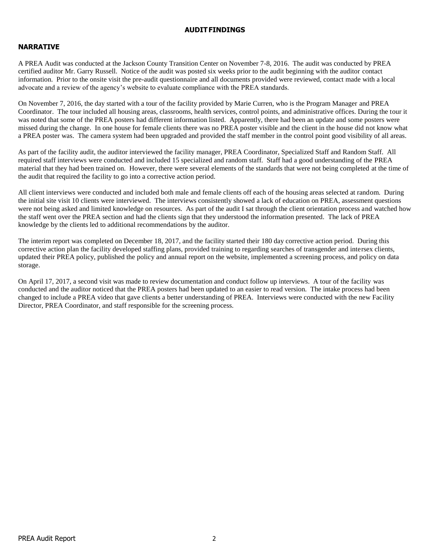#### **AUDITFINDINGS**

## **NARRATIVE**

A PREA Audit was conducted at the Jackson County Transition Center on November 7-8, 2016. The audit was conducted by PREA certified auditor Mr. Garry Russell. Notice of the audit was posted six weeks prior to the audit beginning with the auditor contact information. Prior to the onsite visit the pre-audit questionnaire and all documents provided were reviewed, contact made with a local advocate and a review of the agency's website to evaluate compliance with the PREA standards.

On November 7, 2016, the day started with a tour of the facility provided by Marie Curren, who is the Program Manager and PREA Coordinator. The tour included all housing areas, classrooms, health services, control points, and administrative offices. During the tour it was noted that some of the PREA posters had different information listed. Apparently, there had been an update and some posters were missed during the change. In one house for female clients there was no PREA poster visible and the client in the house did not know what a PREA poster was. The camera system had been upgraded and provided the staff member in the control point good visibility of all areas.

As part of the facility audit, the auditor interviewed the facility manager, PREA Coordinator, Specialized Staff and Random Staff. All required staff interviews were conducted and included 15 specialized and random staff. Staff had a good understanding of the PREA material that they had been trained on. However, there were several elements of the standards that were not being completed at the time of the audit that required the facility to go into a corrective action period.

All client interviews were conducted and included both male and female clients off each of the housing areas selected at random. During the initial site visit 10 clients were interviewed. The interviews consistently showed a lack of education on PREA, assessment questions were not being asked and limited knowledge on resources. As part of the audit I sat through the client orientation process and watched how the staff went over the PREA section and had the clients sign that they understood the information presented. The lack of PREA knowledge by the clients led to additional recommendations by the auditor.

The interim report was completed on December 18, 2017, and the facility started their 180 day corrective action period. During this corrective action plan the facility developed staffing plans, provided training to regarding searches of transgender and intersex clients, updated their PREA policy, published the policy and annual report on the website, implemented a screening process, and policy on data storage.

On April 17, 2017, a second visit was made to review documentation and conduct follow up interviews. A tour of the facility was conducted and the auditor noticed that the PREA posters had been updated to an easier to read version. The intake process had been changed to include a PREA video that gave clients a better understanding of PREA. Interviews were conducted with the new Facility Director, PREA Coordinator, and staff responsible for the screening process.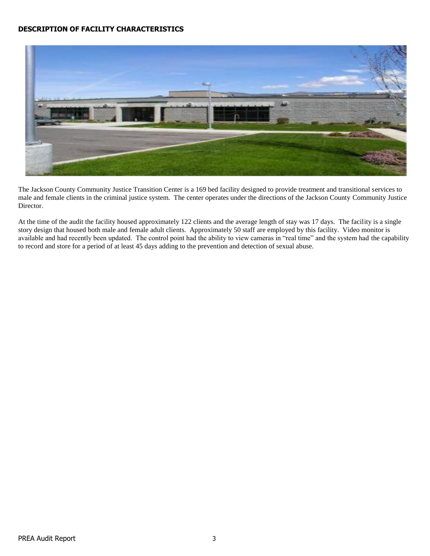## **DESCRIPTION OF FACILITY CHARACTERISTICS**



The Jackson County Community Justice Transition Center is a 169 bed facility designed to provide treatment and transitional services to male and female clients in the criminal justice system. The center operates under the directions of the Jackson County Community Justice Director.

At the time of the audit the facility housed approximately 122 clients and the average length of stay was 17 days. The facility is a single story design that housed both male and female adult clients. Approximately 50 staff are employed by this facility. Video monitor is available and had recently been updated. The control point had the ability to view cameras in "real time" and the system had the capability to record and store for a period of at least 45 days adding to the prevention and detection of sexual abuse.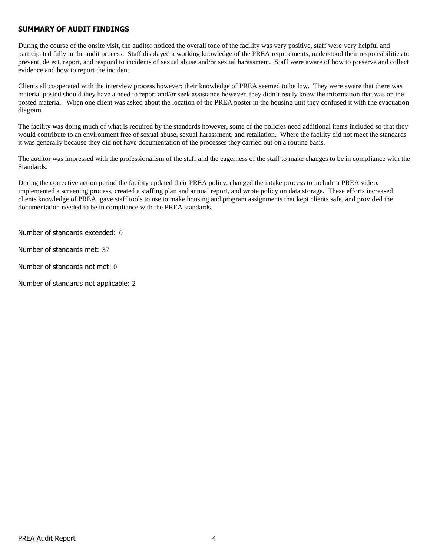#### **SUMMARY OF AUDIT FINDINGS**

During the course of the onsite visit, the auditor noticed the overall tone of the facility was very positive, staff were very helpful and participated fully in the audit process. Staff displayed a working knowledge of the PREA requirements, understood their responsibilities to prevent, detect, report, and respond to incidents of sexual abuse and/or sexual harassment. Staff were aware of how to preserve and collect evidence and how to report the incident.

Clients all cooperated with the interview process however; their knowledge of PREA seemed to be low. They were aware that there was material posted should they have a need to report and/or seek assistance however, they didn't really know the information that was on the posted material. When one client was asked about the location of the PREA poster in the housing unit they confused it with the evacuation diagram.

The facility was doing much of what is required by the standards however, some of the policies need additional items included so that they would contribute to an environment free of sexual abuse, sexual harassment, and retaliation. Where the facility did not meet the standards it was generally because they did not have documentation of the processes they carried out on a routine basis.

The auditor was impressed with the professionalism of the staff and the eagerness of the staff to make changes to be in compliance with the Standards.

During the corrective action period the facility updated their PREA policy, changed the intake process to include a PREA video, implemented a screening process, created a staffing plan and annual report, and wrote policy on data storage. These efforts increased clients knowledge of PREA, gave staff tools to use to make housing and program assignments that kept clients safe, and provided the documentation needed to be in compliance with the PREA standards.

Number of standards exceeded: 0

Number of standards met: 37

Number of standards not met: 0

Number of standards not applicable: 2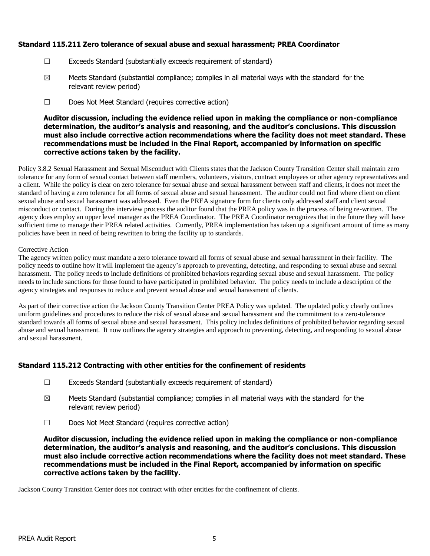## **Standard 115.211 Zero tolerance of sexual abuse and sexual harassment; PREA Coordinator**

- ☐ Exceeds Standard (substantially exceeds requirement of standard)
- $\boxtimes$  Meets Standard (substantial compliance; complies in all material ways with the standard for the relevant review period)
- ☐ Does Not Meet Standard (requires corrective action)

#### **Auditor discussion, including the evidence relied upon in making the compliance or non-compliance determination, the auditor's analysis and reasoning, and the auditor's conclusions. This discussion must also include corrective action recommendations where the facility does not meet standard. These recommendations must be included in the Final Report, accompanied by information on specific corrective actions taken by the facility.**

Policy 3.8.2 Sexual Harassment and Sexual Misconduct with Clients states that the Jackson County Transition Center shall maintain zero tolerance for any form of sexual contact between staff members, volunteers, visitors, contract employees or other agency representatives and a client. While the policy is clear on zero tolerance for sexual abuse and sexual harassment between staff and clients, it does not meet the standard of having a zero tolerance for all forms of sexual abuse and sexual harassment. The auditor could not find where client on client sexual abuse and sexual harassment was addressed. Even the PREA signature form for clients only addressed staff and client sexual misconduct or contact. During the interview process the auditor found that the PREA policy was in the process of being re-written. The agency does employ an upper level manager as the PREA Coordinator. The PREA Coordinator recognizes that in the future they will have sufficient time to manage their PREA related activities. Currently, PREA implementation has taken up a significant amount of time as many policies have been in need of being rewritten to bring the facility up to standards.

#### Corrective Action

The agency written policy must mandate a zero tolerance toward all forms of sexual abuse and sexual harassment in their facility. The policy needs to outline how it will implement the agency's approach to preventing, detecting, and responding to sexual abuse and sexual harassment. The policy needs to include definitions of prohibited behaviors regarding sexual abuse and sexual harassment. The policy needs to include sanctions for those found to have participated in prohibited behavior. The policy needs to include a description of the agency strategies and responses to reduce and prevent sexual abuse and sexual harassment of clients.

As part of their corrective action the Jackson County Transition Center PREA Policy was updated. The updated policy clearly outlines uniform guidelines and procedures to reduce the risk of sexual abuse and sexual harassment and the commitment to a zero-tolerance standard towards all forms of sexual abuse and sexual harassment. This policy includes definitions of prohibited behavior regarding sexual abuse and sexual harassment. It now outlines the agency strategies and approach to preventing, detecting, and responding to sexual abuse and sexual harassment.

## **Standard 115.212 Contracting with other entities for the confinement of residents**

- ☐ Exceeds Standard (substantially exceeds requirement of standard)
- $\boxtimes$  Meets Standard (substantial compliance; complies in all material ways with the standard for the relevant review period)
- ☐ Does Not Meet Standard (requires corrective action)

**Auditor discussion, including the evidence relied upon in making the compliance or non-compliance determination, the auditor's analysis and reasoning, and the auditor's conclusions. This discussion must also include corrective action recommendations where the facility does not meet standard. These recommendations must be included in the Final Report, accompanied by information on specific corrective actions taken by the facility.**

Jackson County Transition Center does not contract with other entities for the confinement of clients.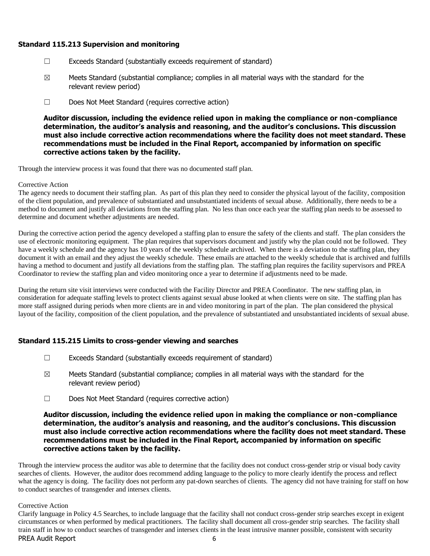#### **Standard 115.213 Supervision and monitoring**

- ☐ Exceeds Standard (substantially exceeds requirement of standard)
- $\boxtimes$  Meets Standard (substantial compliance; complies in all material ways with the standard for the relevant review period)
- ☐ Does Not Meet Standard (requires corrective action)

**Auditor discussion, including the evidence relied upon in making the compliance or non-compliance determination, the auditor's analysis and reasoning, and the auditor's conclusions. This discussion must also include corrective action recommendations where the facility does not meet standard. These recommendations must be included in the Final Report, accompanied by information on specific corrective actions taken by the facility.**

Through the interview process it was found that there was no documented staff plan.

#### Corrective Action

The agency needs to document their staffing plan. As part of this plan they need to consider the physical layout of the facility, composition of the client population, and prevalence of substantiated and unsubstantiated incidents of sexual abuse. Additionally, there needs to be a method to document and justify all deviations from the staffing plan. No less than once each year the staffing plan needs to be assessed to determine and document whether adjustments are needed.

During the corrective action period the agency developed a staffing plan to ensure the safety of the clients and staff. The plan considers the use of electronic monitoring equipment. The plan requires that supervisors document and justify why the plan could not be followed. They have a weekly schedule and the agency has 10 years of the weekly schedule archived. When there is a deviation to the staffing plan, they document it with an email and they adjust the weekly schedule. These emails are attached to the weekly schedule that is archived and fulfills having a method to document and justify all deviations from the staffing plan. The staffing plan requires the facility supervisors and PREA Coordinator to review the staffing plan and video monitoring once a year to determine if adjustments need to be made.

During the return site visit interviews were conducted with the Facility Director and PREA Coordinator. The new staffing plan, in consideration for adequate staffing levels to protect clients against sexual abuse looked at when clients were on site. The staffing plan has more staff assigned during periods when more clients are in and video monitoring in part of the plan. The plan considered the physical layout of the facility, composition of the client population, and the prevalence of substantiated and unsubstantiated incidents of sexual abuse.

## **Standard 115.215 Limits to cross-gender viewing and searches**

- ☐ Exceeds Standard (substantially exceeds requirement of standard)
- $\boxtimes$  Meets Standard (substantial compliance; complies in all material ways with the standard for the relevant review period)
- ☐ Does Not Meet Standard (requires corrective action)

#### **Auditor discussion, including the evidence relied upon in making the compliance or non-compliance determination, the auditor's analysis and reasoning, and the auditor's conclusions. This discussion must also include corrective action recommendations where the facility does not meet standard. These recommendations must be included in the Final Report, accompanied by information on specific corrective actions taken by the facility.**

Through the interview process the auditor was able to determine that the facility does not conduct cross-gender strip or visual body cavity searches of clients. However, the auditor does recommend adding language to the policy to more clearly identify the process and reflect what the agency is doing. The facility does not perform any pat-down searches of clients. The agency did not have training for staff on how to conduct searches of transgender and intersex clients.

#### Corrective Action

PREA Audit Report 6 Clarify language in Policy 4.5 Searches, to include language that the facility shall not conduct cross-gender strip searches except in exigent circumstances or when performed by medical practitioners. The facility shall document all cross-gender strip searches. The facility shall train staff in how to conduct searches of transgender and intersex clients in the least intrusive manner possible, consistent with security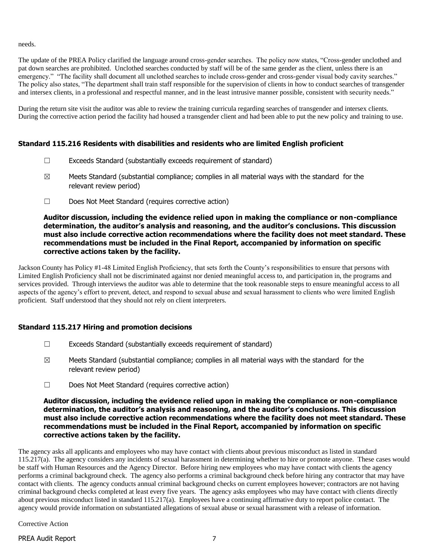needs.

The update of the PREA Policy clarified the language around cross-gender searches. The policy now states, "Cross-gender unclothed and pat down searches are prohibited. Unclothed searches conducted by staff will be of the same gender as the client, unless there is an emergency." "The facility shall document all unclothed searches to include cross-gender and cross-gender visual body cavity searches." The policy also states, "The department shall train staff responsible for the supervision of clients in how to conduct searches of transgender and intersex clients, in a professional and respectful manner, and in the least intrusive manner possible, consistent with security needs."

During the return site visit the auditor was able to review the training curricula regarding searches of transgender and intersex clients. During the corrective action period the facility had housed a transgender client and had been able to put the new policy and training to use.

## **Standard 115.216 Residents with disabilities and residents who are limited English proficient**

- ☐ Exceeds Standard (substantially exceeds requirement of standard)
- $\boxtimes$  Meets Standard (substantial compliance; complies in all material ways with the standard for the relevant review period)
- ☐ Does Not Meet Standard (requires corrective action)

#### **Auditor discussion, including the evidence relied upon in making the compliance or non-compliance determination, the auditor's analysis and reasoning, and the auditor's conclusions. This discussion must also include corrective action recommendations where the facility does not meet standard. These recommendations must be included in the Final Report, accompanied by information on specific corrective actions taken by the facility.**

Jackson County has Policy #1-48 Limited English Proficiency, that sets forth the County's responsibilities to ensure that persons with Limited English Proficiency shall not be discriminated against nor denied meaningful access to, and participation in, the programs and services provided. Through interviews the auditor was able to determine that the took reasonable steps to ensure meaningful access to all aspects of the agency's effort to prevent, detect, and respond to sexual abuse and sexual harassment to clients who were limited English proficient. Staff understood that they should not rely on client interpreters.

## **Standard 115.217 Hiring and promotion decisions**

- ☐ Exceeds Standard (substantially exceeds requirement of standard)
- $\boxtimes$  Meets Standard (substantial compliance; complies in all material ways with the standard for the relevant review period)
- ☐ Does Not Meet Standard (requires corrective action)

#### **Auditor discussion, including the evidence relied upon in making the compliance or non-compliance determination, the auditor's analysis and reasoning, and the auditor's conclusions. This discussion must also include corrective action recommendations where the facility does not meet standard. These recommendations must be included in the Final Report, accompanied by information on specific corrective actions taken by the facility.**

The agency asks all applicants and employees who may have contact with clients about previous misconduct as listed in standard 115.217(a). The agency considers any incidents of sexual harassment in determining whether to hire or promote anyone. These cases would be staff with Human Resources and the Agency Director. Before hiring new employees who may have contact with clients the agency performs a criminal background check. The agency also performs a criminal background check before hiring any contractor that may have contact with clients. The agency conducts annual criminal background checks on current employees however; contractors are not having criminal background checks completed at least every five years. The agency asks employees who may have contact with clients directly about previous misconduct listed in standard 115.217(a). Employees have a continuing affirmative duty to report police contact. The agency would provide information on substantiated allegations of sexual abuse or sexual harassment with a release of information.

Corrective Action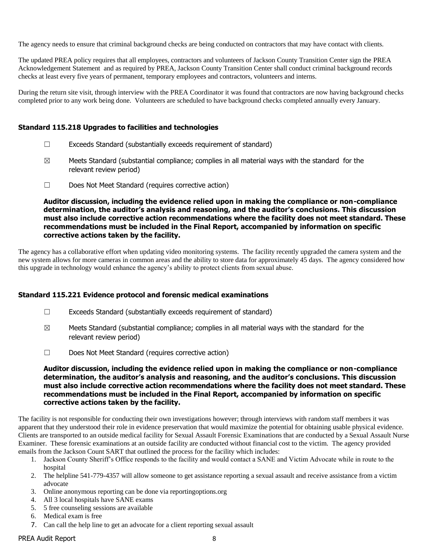The agency needs to ensure that criminal background checks are being conducted on contractors that may have contact with clients.

The updated PREA policy requires that all employees, contractors and volunteers of Jackson County Transition Center sign the PREA Acknowledgement Statement and as required by PREA, Jackson County Transition Center shall conduct criminal background records checks at least every five years of permanent, temporary employees and contractors, volunteers and interns.

During the return site visit, through interview with the PREA Coordinator it was found that contractors are now having background checks completed prior to any work being done. Volunteers are scheduled to have background checks completed annually every January.

#### **Standard 115.218 Upgrades to facilities and technologies**

- ☐ Exceeds Standard (substantially exceeds requirement of standard)
- $\boxtimes$  Meets Standard (substantial compliance; complies in all material ways with the standard for the relevant review period)
- ☐ Does Not Meet Standard (requires corrective action)

**Auditor discussion, including the evidence relied upon in making the compliance or non-compliance determination, the auditor's analysis and reasoning, and the auditor's conclusions. This discussion must also include corrective action recommendations where the facility does not meet standard. These recommendations must be included in the Final Report, accompanied by information on specific corrective actions taken by the facility.**

The agency has a collaborative effort when updating video monitoring systems. The facility recently upgraded the camera system and the new system allows for more cameras in common areas and the ability to store data for approximately 45 days. The agency considered how this upgrade in technology would enhance the agency's ability to protect clients from sexual abuse.

#### **Standard 115.221 Evidence protocol and forensic medical examinations**

- $\Box$  Exceeds Standard (substantially exceeds requirement of standard)
- $\boxtimes$  Meets Standard (substantial compliance; complies in all material ways with the standard for the relevant review period)
- ☐ Does Not Meet Standard (requires corrective action)

**Auditor discussion, including the evidence relied upon in making the compliance or non-compliance determination, the auditor's analysis and reasoning, and the auditor's conclusions. This discussion must also include corrective action recommendations where the facility does not meet standard. These recommendations must be included in the Final Report, accompanied by information on specific corrective actions taken by the facility.**

The facility is not responsible for conducting their own investigations however; through interviews with random staff members it was apparent that they understood their role in evidence preservation that would maximize the potential for obtaining usable physical evidence. Clients are transported to an outside medical facility for Sexual Assault Forensic Examinations that are conducted by a Sexual Assault Nurse Examiner. These forensic examinations at an outside facility are conducted without financial cost to the victim. The agency provided emails from the Jackson Count SART that outlined the process for the facility which includes:

- 1. Jackson County Sheriff's Office responds to the facility and would contact a SANE and Victim Advocate while in route to the hospital
- 2. The helpline 541-779-4357 will allow someone to get assistance reporting a sexual assault and receive assistance from a victim advocate
- 3. Online anonymous reporting can be done via reportingoptions.org
- 4. All 3 local hospitals have SANE exams
- 5. 5 free counseling sessions are available
- 6. Medical exam is free
- 7. Can call the help line to get an advocate for a client reporting sexual assault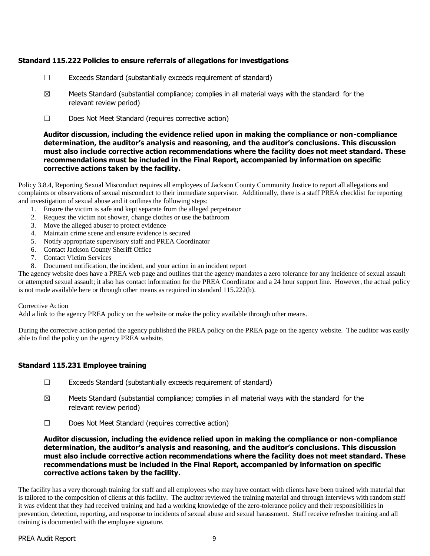## **Standard 115.222 Policies to ensure referrals of allegations for investigations**

- $\Box$  Exceeds Standard (substantially exceeds requirement of standard)
- $\boxtimes$  Meets Standard (substantial compliance; complies in all material ways with the standard for the relevant review period)
- ☐ Does Not Meet Standard (requires corrective action)

#### **Auditor discussion, including the evidence relied upon in making the compliance or non-compliance determination, the auditor's analysis and reasoning, and the auditor's conclusions. This discussion must also include corrective action recommendations where the facility does not meet standard. These recommendations must be included in the Final Report, accompanied by information on specific corrective actions taken by the facility.**

Policy 3.8.4, Reporting Sexual Misconduct requires all employees of Jackson County Community Justice to report all allegations and complaints or observations of sexual misconduct to their immediate supervisor. Additionally, there is a staff PREA checklist for reporting and investigation of sexual abuse and it outlines the following steps:

- 1. Ensure the victim is safe and kept separate from the alleged perpetrator
- 2. Request the victim not shower, change clothes or use the bathroom
- 3. Move the alleged abuser to protect evidence
- 4. Maintain crime scene and ensure evidence is secured
- 5. Notify appropriate supervisory staff and PREA Coordinator
- 6. Contact Jackson County Sheriff Office
- 7. Contact Victim Services
- 8. Document notification, the incident, and your action in an incident report

The agency website does have a PREA web page and outlines that the agency mandates a zero tolerance for any incidence of sexual assault or attempted sexual assault; it also has contact information for the PREA Coordinator and a 24 hour support line. However, the actual policy is not made available here or through other means as required in standard 115.222(b).

#### Corrective Action

Add a link to the agency PREA policy on the website or make the policy available through other means.

During the corrective action period the agency published the PREA policy on the PREA page on the agency website. The auditor was easily able to find the policy on the agency PREA website.

#### **Standard 115.231 Employee training**

- ☐ Exceeds Standard (substantially exceeds requirement of standard)
- $\boxtimes$  Meets Standard (substantial compliance; complies in all material ways with the standard for the relevant review period)
- ☐ Does Not Meet Standard (requires corrective action)

#### **Auditor discussion, including the evidence relied upon in making the compliance or non-compliance determination, the auditor's analysis and reasoning, and the auditor's conclusions. This discussion must also include corrective action recommendations where the facility does not meet standard. These recommendations must be included in the Final Report, accompanied by information on specific corrective actions taken by the facility.**

The facility has a very thorough training for staff and all employees who may have contact with clients have been trained with material that is tailored to the composition of clients at this facility. The auditor reviewed the training material and through interviews with random staff it was evident that they had received training and had a working knowledge of the zero-tolerance policy and their responsibilities in prevention, detection, reporting, and response to incidents of sexual abuse and sexual harassment. Staff receive refresher training and all training is documented with the employee signature.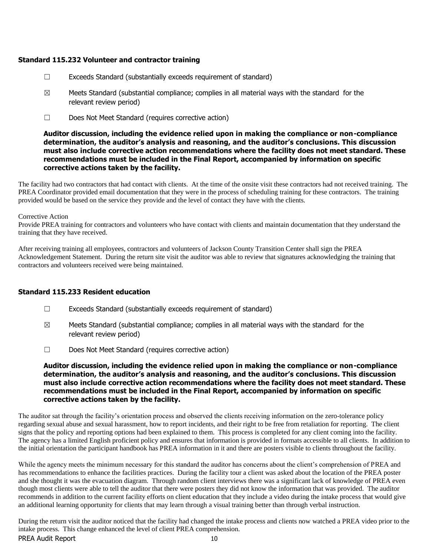## **Standard 115.232 Volunteer and contractor training**

- ☐ Exceeds Standard (substantially exceeds requirement of standard)
- $\boxtimes$  Meets Standard (substantial compliance; complies in all material ways with the standard for the relevant review period)
- ☐ Does Not Meet Standard (requires corrective action)

#### **Auditor discussion, including the evidence relied upon in making the compliance or non-compliance determination, the auditor's analysis and reasoning, and the auditor's conclusions. This discussion must also include corrective action recommendations where the facility does not meet standard. These recommendations must be included in the Final Report, accompanied by information on specific corrective actions taken by the facility.**

The facility had two contractors that had contact with clients. At the time of the onsite visit these contractors had not received training. The PREA Coordinator provided email documentation that they were in the process of scheduling training for these contractors. The training provided would be based on the service they provide and the level of contact they have with the clients.

#### Corrective Action

Provide PREA training for contractors and volunteers who have contact with clients and maintain documentation that they understand the training that they have received.

After receiving training all employees, contractors and volunteers of Jackson County Transition Center shall sign the PREA Acknowledgement Statement. During the return site visit the auditor was able to review that signatures acknowledging the training that contractors and volunteers received were being maintained.

## **Standard 115.233 Resident education**

- ☐ Exceeds Standard (substantially exceeds requirement of standard)
- $\boxtimes$  Meets Standard (substantial compliance; complies in all material ways with the standard for the relevant review period)
- ☐ Does Not Meet Standard (requires corrective action)

#### **Auditor discussion, including the evidence relied upon in making the compliance or non-compliance determination, the auditor's analysis and reasoning, and the auditor's conclusions. This discussion must also include corrective action recommendations where the facility does not meet standard. These recommendations must be included in the Final Report, accompanied by information on specific corrective actions taken by the facility.**

The auditor sat through the facility's orientation process and observed the clients receiving information on the zero-tolerance policy regarding sexual abuse and sexual harassment, how to report incidents, and their right to be free from retaliation for reporting. The client signs that the policy and reporting options had been explained to them. This process is completed for any client coming into the facility. The agency has a limited English proficient policy and ensures that information is provided in formats accessible to all clients. In addition to the initial orientation the participant handbook has PREA information in it and there are posters visible to clients throughout the facility.

While the agency meets the minimum necessary for this standard the auditor has concerns about the client's comprehension of PREA and has recommendations to enhance the facilities practices. During the facility tour a client was asked about the location of the PREA poster and she thought it was the evacuation diagram. Through random client interviews there was a significant lack of knowledge of PREA even though most clients were able to tell the auditor that there were posters they did not know the information that was provided. The auditor recommends in addition to the current facility efforts on client education that they include a video during the intake process that would give an additional learning opportunity for clients that may learn through a visual training better than through verbal instruction.

PREA Audit Report 10 During the return visit the auditor noticed that the facility had changed the intake process and clients now watched a PREA video prior to the intake process. This change enhanced the level of client PREA comprehension.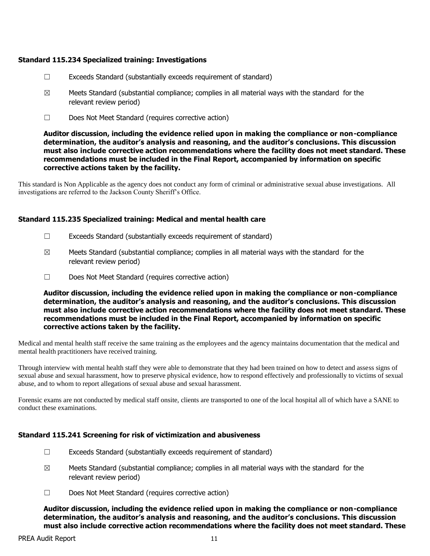## **Standard 115.234 Specialized training: Investigations**

- ☐ Exceeds Standard (substantially exceeds requirement of standard)
- $\boxtimes$  Meets Standard (substantial compliance; complies in all material ways with the standard for the relevant review period)
- ☐ Does Not Meet Standard (requires corrective action)

**Auditor discussion, including the evidence relied upon in making the compliance or non-compliance determination, the auditor's analysis and reasoning, and the auditor's conclusions. This discussion must also include corrective action recommendations where the facility does not meet standard. These recommendations must be included in the Final Report, accompanied by information on specific corrective actions taken by the facility.**

This standard is Non Applicable as the agency does not conduct any form of criminal or administrative sexual abuse investigations. All investigations are referred to the Jackson County Sheriff's Office.

#### **Standard 115.235 Specialized training: Medical and mental health care**

- $\Box$  Exceeds Standard (substantially exceeds requirement of standard)
- $\boxtimes$  Meets Standard (substantial compliance; complies in all material ways with the standard for the relevant review period)
- ☐ Does Not Meet Standard (requires corrective action)

**Auditor discussion, including the evidence relied upon in making the compliance or non-compliance determination, the auditor's analysis and reasoning, and the auditor's conclusions. This discussion must also include corrective action recommendations where the facility does not meet standard. These recommendations must be included in the Final Report, accompanied by information on specific corrective actions taken by the facility.**

Medical and mental health staff receive the same training as the employees and the agency maintains documentation that the medical and mental health practitioners have received training.

Through interview with mental health staff they were able to demonstrate that they had been trained on how to detect and assess signs of sexual abuse and sexual harassment, how to preserve physical evidence, how to respond effectively and professionally to victims of sexual abuse, and to whom to report allegations of sexual abuse and sexual harassment.

Forensic exams are not conducted by medical staff onsite, clients are transported to one of the local hospital all of which have a SANE to conduct these examinations.

## **Standard 115.241 Screening for risk of victimization and abusiveness**

- ☐ Exceeds Standard (substantially exceeds requirement of standard)
- $\boxtimes$  Meets Standard (substantial compliance; complies in all material ways with the standard for the relevant review period)
- ☐ Does Not Meet Standard (requires corrective action)

**Auditor discussion, including the evidence relied upon in making the compliance or non-compliance determination, the auditor's analysis and reasoning, and the auditor's conclusions. This discussion must also include corrective action recommendations where the facility does not meet standard. These**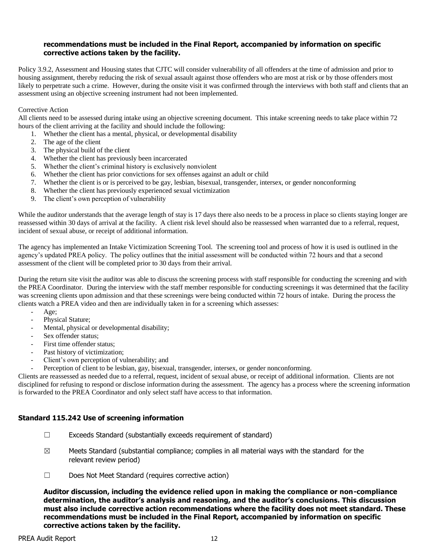#### **recommendations must be included in the Final Report, accompanied by information on specific corrective actions taken by the facility.**

Policy 3.9.2, Assessment and Housing states that CJTC will consider vulnerability of all offenders at the time of admission and prior to housing assignment, thereby reducing the risk of sexual assault against those offenders who are most at risk or by those offenders most likely to perpetrate such a crime. However, during the onsite visit it was confirmed through the interviews with both staff and clients that an assessment using an objective screening instrument had not been implemented.

#### Corrective Action

All clients need to be assessed during intake using an objective screening document. This intake screening needs to take place within 72 hours of the client arriving at the facility and should include the following:

1. Whether the client has a mental, physical, or developmental disability

- 2. The age of the client
- 3. The physical build of the client
- 4. Whether the client has previously been incarcerated
- 5. Whether the client's criminal history is exclusively nonviolent
- 6. Whether the client has prior convictions for sex offenses against an adult or child
- 7. Whether the client is or is perceived to be gay, lesbian, bisexual, transgender, intersex, or gender nonconforming
- 8. Whether the client has previously experienced sexual victimization
- 9. The client's own perception of vulnerability

While the auditor understands that the average length of stay is 17 days there also needs to be a process in place so clients staying longer are reassessed within 30 days of arrival at the facility. A client risk level should also be reassessed when warranted due to a referral, request, incident of sexual abuse, or receipt of additional information.

The agency has implemented an Intake Victimization Screening Tool. The screening tool and process of how it is used is outlined in the agency's updated PREA policy. The policy outlines that the initial assessment will be conducted within 72 hours and that a second assessment of the client will be completed prior to 30 days from their arrival.

During the return site visit the auditor was able to discuss the screening process with staff responsible for conducting the screening and with the PREA Coordinator. During the interview with the staff member responsible for conducting screenings it was determined that the facility was screening clients upon admission and that these screenings were being conducted within 72 hours of intake. During the process the clients watch a PREA video and then are individually taken in for a screening which assesses:

- Age:
- Physical Stature;
- Mental, physical or developmental disability;
- Sex offender status:
- First time offender status;
- Past history of victimization;
- Client's own perception of vulnerability; and
- Perception of client to be lesbian, gay, bisexual, transgender, intersex, or gender nonconforming.

Clients are reassessed as needed due to a referral, request, incident of sexual abuse, or receipt of additional information. Clients are not disciplined for refusing to respond or disclose information during the assessment. The agency has a process where the screening information is forwarded to the PREA Coordinator and only select staff have access to that information.

#### **Standard 115.242 Use of screening information**

- ☐ Exceeds Standard (substantially exceeds requirement of standard)
- $\boxtimes$  Meets Standard (substantial compliance; complies in all material ways with the standard for the relevant review period)
- ☐ Does Not Meet Standard (requires corrective action)

**Auditor discussion, including the evidence relied upon in making the compliance or non-compliance determination, the auditor's analysis and reasoning, and the auditor's conclusions. This discussion must also include corrective action recommendations where the facility does not meet standard. These recommendations must be included in the Final Report, accompanied by information on specific corrective actions taken by the facility.**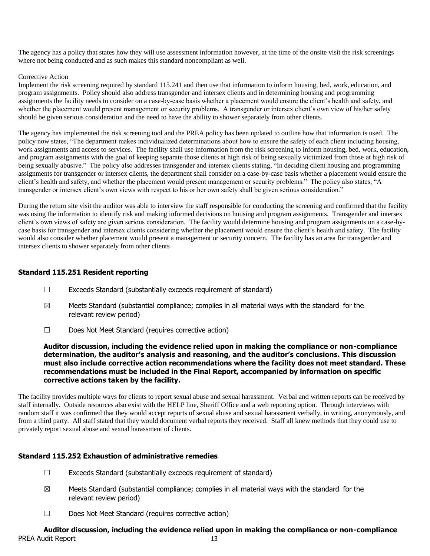The agency has a policy that states how they will use assessment information however, at the time of the onsite visit the risk screenings where not being conducted and as such makes this standard noncompliant as well.

#### Corrective Action

Implement the risk screening required by standard 115.241 and then use that information to inform housing, bed, work, education, and program assignments. Policy should also address transgender and intersex clients and in determining housing and programming assignments the facility needs to consider on a case-by-case basis whether a placement would ensure the client's health and safety, and whether the placement would present management or security problems. A transgender or intersex client's own view of his/her safety should be given serious consideration and the need to have the ability to shower separately from other clients.

The agency has implemented the risk screening tool and the PREA policy has been updated to outline how that information is used. The policy now states, "The department makes individualized determinations about how to ensure the safety of each client including housing, work assignments and access to services. The facility shall use information from the risk screening to inform housing, bed, work, education, and program assignments with the goal of keeping separate those clients at high risk of being sexually victimized from those at high risk of being sexually abusive." The policy also addresses transgender and intersex clients stating, "In deciding client housing and programming assignments for transgender or intersex clients, the department shall consider on a case-by-case basis whether a placement would ensure the client's health and safety, and whether the placement would present management or security problems." The policy also states, "A transgender or intersex client's own views with respect to his or her own safety shall be given serious consideration."

During the return site visit the auditor was able to interview the staff responsible for conducting the screening and confirmed that the facility was using the information to identify risk and making informed decisions on housing and program assignments. Transgender and intersex client's own views of safety are given serious consideration. The facility would determine housing and program assignments on a case-bycase basis for transgender and intersex clients considering whether the placement would ensure the client's health and safety. The facility would also consider whether placement would present a management or security concern. The facility has an area for transgender and intersex clients to shower separately from other clients

#### **Standard 115.251 Resident reporting**

- ☐ Exceeds Standard (substantially exceeds requirement of standard)
- $\boxtimes$  Meets Standard (substantial compliance; complies in all material ways with the standard for the relevant review period)
- ☐ Does Not Meet Standard (requires corrective action)

#### **Auditor discussion, including the evidence relied upon in making the compliance or non-compliance determination, the auditor's analysis and reasoning, and the auditor's conclusions. This discussion must also include corrective action recommendations where the facility does not meet standard. These recommendations must be included in the Final Report, accompanied by information on specific corrective actions taken by the facility.**

The facility provides multiple ways for clients to report sexual abuse and sexual harassment. Verbal and written reports can be received by staff internally. Outside resources also exist with the HELP line, Sheriff Office and a web reporting option. Through interviews with random staff it was confirmed that they would accept reports of sexual abuse and sexual harassment verbally, in writing, anonymously, and from a third party. All staff stated that they would document verbal reports they received. Staff all knew methods that they could use to privately report sexual abuse and sexual harassment of clients.

## **Standard 115.252 Exhaustion of administrative remedies**

- ☐ Exceeds Standard (substantially exceeds requirement of standard)
- $\boxtimes$  Meets Standard (substantial compliance; complies in all material ways with the standard for the relevant review period)
- ☐ Does Not Meet Standard (requires corrective action)

## PREA Audit Report 13 **Auditor discussion, including the evidence relied upon in making the compliance or non-compliance**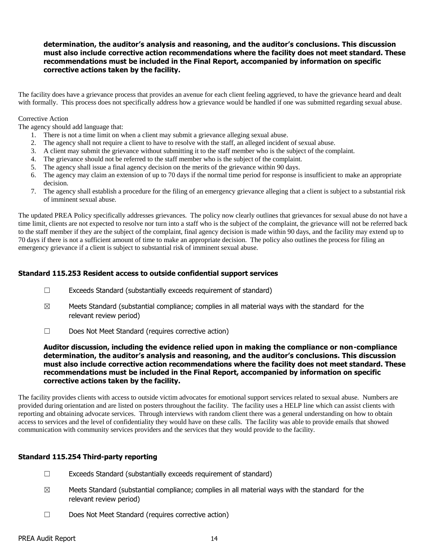## **determination, the auditor's analysis and reasoning, and the auditor's conclusions. This discussion must also include corrective action recommendations where the facility does not meet standard. These recommendations must be included in the Final Report, accompanied by information on specific corrective actions taken by the facility.**

The facility does have a grievance process that provides an avenue for each client feeling aggrieved, to have the grievance heard and dealt with formally. This process does not specifically address how a grievance would be handled if one was submitted regarding sexual abuse.

#### Corrective Action

The agency should add language that:

- 1. There is not a time limit on when a client may submit a grievance alleging sexual abuse.
- 2. The agency shall not require a client to have to resolve with the staff, an alleged incident of sexual abuse.
- 3. A client may submit the grievance without submitting it to the staff member who is the subject of the complaint.
- 4. The grievance should not be referred to the staff member who is the subject of the complaint.
- 5. The agency shall issue a final agency decision on the merits of the grievance within 90 days.
- 6. The agency may claim an extension of up to 70 days if the normal time period for response is insufficient to make an appropriate decision.
- 7. The agency shall establish a procedure for the filing of an emergency grievance alleging that a client is subject to a substantial risk of imminent sexual abuse.

The updated PREA Policy specifically addresses grievances. The policy now clearly outlines that grievances for sexual abuse do not have a time limit, clients are not expected to resolve nor turn into a staff who is the subject of the complaint, the grievance will not be referred back to the staff member if they are the subject of the complaint, final agency decision is made within 90 days, and the facility may extend up to 70 days if there is not a sufficient amount of time to make an appropriate decision. The policy also outlines the process for filing an emergency grievance if a client is subject to substantial risk of imminent sexual abuse.

#### **Standard 115.253 Resident access to outside confidential support services**

- $\Box$  Exceeds Standard (substantially exceeds requirement of standard)
- $\boxtimes$  Meets Standard (substantial compliance; complies in all material ways with the standard for the relevant review period)
- ☐ Does Not Meet Standard (requires corrective action)

#### **Auditor discussion, including the evidence relied upon in making the compliance or non-compliance determination, the auditor's analysis and reasoning, and the auditor's conclusions. This discussion must also include corrective action recommendations where the facility does not meet standard. These recommendations must be included in the Final Report, accompanied by information on specific corrective actions taken by the facility.**

The facility provides clients with access to outside victim advocates for emotional support services related to sexual abuse. Numbers are provided during orientation and are listed on posters throughout the facility. The facility uses a HELP line which can assist clients with reporting and obtaining advocate services. Through interviews with random client there was a general understanding on how to obtain access to services and the level of confidentiality they would have on these calls. The facility was able to provide emails that showed communication with community services providers and the services that they would provide to the facility.

## **Standard 115.254 Third-party reporting**

- ☐ Exceeds Standard (substantially exceeds requirement of standard)
- $\boxtimes$  Meets Standard (substantial compliance; complies in all material ways with the standard for the relevant review period)
- ☐ Does Not Meet Standard (requires corrective action)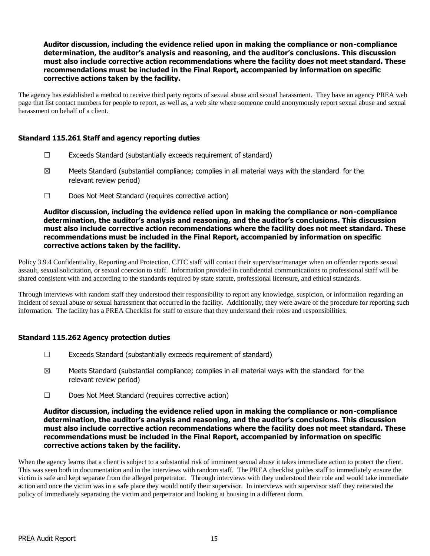**Auditor discussion, including the evidence relied upon in making the compliance or non-compliance determination, the auditor's analysis and reasoning, and the auditor's conclusions. This discussion must also include corrective action recommendations where the facility does not meet standard. These recommendations must be included in the Final Report, accompanied by information on specific corrective actions taken by the facility.**

The agency has established a method to receive third party reports of sexual abuse and sexual harassment. They have an agency PREA web page that list contact numbers for people to report, as well as, a web site where someone could anonymously report sexual abuse and sexual harassment on behalf of a client.

#### **Standard 115.261 Staff and agency reporting duties**

- ☐ Exceeds Standard (substantially exceeds requirement of standard)
- $\boxtimes$  Meets Standard (substantial compliance; complies in all material ways with the standard for the relevant review period)
- ☐ Does Not Meet Standard (requires corrective action)

**Auditor discussion, including the evidence relied upon in making the compliance or non-compliance determination, the auditor's analysis and reasoning, and the auditor's conclusions. This discussion must also include corrective action recommendations where the facility does not meet standard. These recommendations must be included in the Final Report, accompanied by information on specific corrective actions taken by the facility.**

Policy 3.9.4 Confidentiality, Reporting and Protection, CJTC staff will contact their supervisor/manager when an offender reports sexual assault, sexual solicitation, or sexual coercion to staff. Information provided in confidential communications to professional staff will be shared consistent with and according to the standards required by state statute, professional licensure, and ethical standards.

Through interviews with random staff they understood their responsibility to report any knowledge, suspicion, or information regarding an incident of sexual abuse or sexual harassment that occurred in the facility. Additionally, they were aware of the procedure for reporting such information. The facility has a PREA Checklist for staff to ensure that they understand their roles and responsibilities.

## **Standard 115.262 Agency protection duties**

- ☐ Exceeds Standard (substantially exceeds requirement of standard)
- $\boxtimes$  Meets Standard (substantial compliance; complies in all material ways with the standard for the relevant review period)
- ☐ Does Not Meet Standard (requires corrective action)

#### **Auditor discussion, including the evidence relied upon in making the compliance or non-compliance determination, the auditor's analysis and reasoning, and the auditor's conclusions. This discussion must also include corrective action recommendations where the facility does not meet standard. These recommendations must be included in the Final Report, accompanied by information on specific corrective actions taken by the facility.**

When the agency learns that a client is subject to a substantial risk of imminent sexual abuse it takes immediate action to protect the client. This was seen both in documentation and in the interviews with random staff. The PREA checklist guides staff to immediately ensure the victim is safe and kept separate from the alleged perpetrator. Through interviews with they understood their role and would take immediate action and once the victim was in a safe place they would notify their supervisor. In interviews with supervisor staff they reiterated the policy of immediately separating the victim and perpetrator and looking at housing in a different dorm.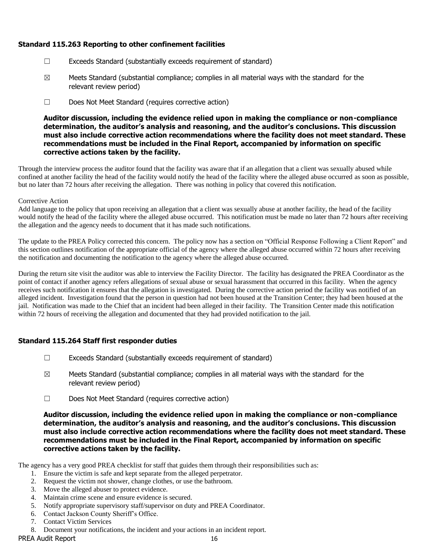## **Standard 115.263 Reporting to other confinement facilities**

- ☐ Exceeds Standard (substantially exceeds requirement of standard)
- $\boxtimes$  Meets Standard (substantial compliance; complies in all material ways with the standard for the relevant review period)
- ☐ Does Not Meet Standard (requires corrective action)

**Auditor discussion, including the evidence relied upon in making the compliance or non-compliance determination, the auditor's analysis and reasoning, and the auditor's conclusions. This discussion must also include corrective action recommendations where the facility does not meet standard. These recommendations must be included in the Final Report, accompanied by information on specific corrective actions taken by the facility.**

Through the interview process the auditor found that the facility was aware that if an allegation that a client was sexually abused while confined at another facility the head of the facility would notify the head of the facility where the alleged abuse occurred as soon as possible, but no later than 72 hours after receiving the allegation. There was nothing in policy that covered this notification.

#### Corrective Action

Add language to the policy that upon receiving an allegation that a client was sexually abuse at another facility, the head of the facility would notify the head of the facility where the alleged abuse occurred. This notification must be made no later than 72 hours after receiving the allegation and the agency needs to document that it has made such notifications.

The update to the PREA Policy corrected this concern. The policy now has a section on "Official Response Following a Client Report" and this section outlines notification of the appropriate official of the agency where the alleged abuse occurred within 72 hours after receiving the notification and documenting the notification to the agency where the alleged abuse occurred.

During the return site visit the auditor was able to interview the Facility Director. The facility has designated the PREA Coordinator as the point of contact if another agency refers allegations of sexual abuse or sexual harassment that occurred in this facility. When the agency receives such notification it ensures that the allegation is investigated. During the corrective action period the facility was notified of an alleged incident. Investigation found that the person in question had not been housed at the Transition Center; they had been housed at the jail. Notification was made to the Chief that an incident had been alleged in their facility. The Transition Center made this notification within 72 hours of receiving the allegation and documented that they had provided notification to the jail.

## **Standard 115.264 Staff first responder duties**

- $\Box$  Exceeds Standard (substantially exceeds requirement of standard)
- $\boxtimes$  Meets Standard (substantial compliance; complies in all material ways with the standard for the relevant review period)
- ☐ Does Not Meet Standard (requires corrective action)

**Auditor discussion, including the evidence relied upon in making the compliance or non-compliance determination, the auditor's analysis and reasoning, and the auditor's conclusions. This discussion must also include corrective action recommendations where the facility does not meet standard. These recommendations must be included in the Final Report, accompanied by information on specific corrective actions taken by the facility.**

The agency has a very good PREA checklist for staff that guides them through their responsibilities such as:

- 1. Ensure the victim is safe and kept separate from the alleged perpetrator.
- 2. Request the victim not shower, change clothes, or use the bathroom.
- 3. Move the alleged abuser to protect evidence.
- 4. Maintain crime scene and ensure evidence is secured.
- 5. Notify appropriate supervisory staff/supervisor on duty and PREA Coordinator.
- 6. Contact Jackson County Sheriff's Office.
- 7. Contact Victim Services
- 8. Document your notifications, the incident and your actions in an incident report.

PREA Audit Report 16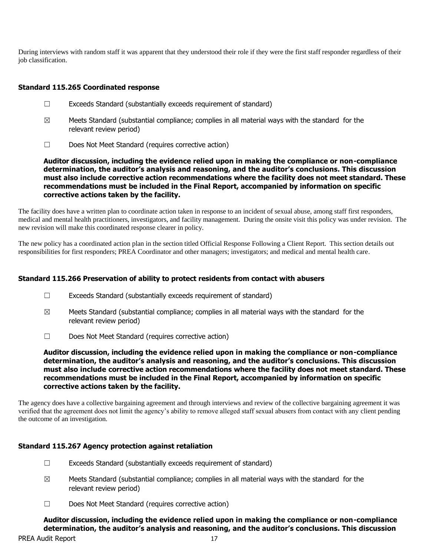During interviews with random staff it was apparent that they understood their role if they were the first staff responder regardless of their job classification.

## **Standard 115.265 Coordinated response**

- ☐ Exceeds Standard (substantially exceeds requirement of standard)
- $\boxtimes$  Meets Standard (substantial compliance; complies in all material ways with the standard for the relevant review period)
- ☐ Does Not Meet Standard (requires corrective action)

**Auditor discussion, including the evidence relied upon in making the compliance or non-compliance determination, the auditor's analysis and reasoning, and the auditor's conclusions. This discussion must also include corrective action recommendations where the facility does not meet standard. These recommendations must be included in the Final Report, accompanied by information on specific corrective actions taken by the facility.**

The facility does have a written plan to coordinate action taken in response to an incident of sexual abuse, among staff first responders, medical and mental health practitioners, investigators, and facility management. During the onsite visit this policy was under revision. The new revision will make this coordinated response clearer in policy.

The new policy has a coordinated action plan in the section titled Official Response Following a Client Report. This section details out responsibilities for first responders; PREA Coordinator and other managers; investigators; and medical and mental health care.

#### **Standard 115.266 Preservation of ability to protect residents from contact with abusers**

- ☐ Exceeds Standard (substantially exceeds requirement of standard)
- $\boxtimes$  Meets Standard (substantial compliance; complies in all material ways with the standard for the relevant review period)
- ☐ Does Not Meet Standard (requires corrective action)

**Auditor discussion, including the evidence relied upon in making the compliance or non-compliance determination, the auditor's analysis and reasoning, and the auditor's conclusions. This discussion must also include corrective action recommendations where the facility does not meet standard. These recommendations must be included in the Final Report, accompanied by information on specific corrective actions taken by the facility.**

The agency does have a collective bargaining agreement and through interviews and review of the collective bargaining agreement it was verified that the agreement does not limit the agency's ability to remove alleged staff sexual abusers from contact with any client pending the outcome of an investigation.

## **Standard 115.267 Agency protection against retaliation**

- ☐ Exceeds Standard (substantially exceeds requirement of standard)
- $\boxtimes$  Meets Standard (substantial compliance; complies in all material ways with the standard for the relevant review period)
- ☐ Does Not Meet Standard (requires corrective action)

**Auditor discussion, including the evidence relied upon in making the compliance or non-compliance determination, the auditor's analysis and reasoning, and the auditor's conclusions. This discussion**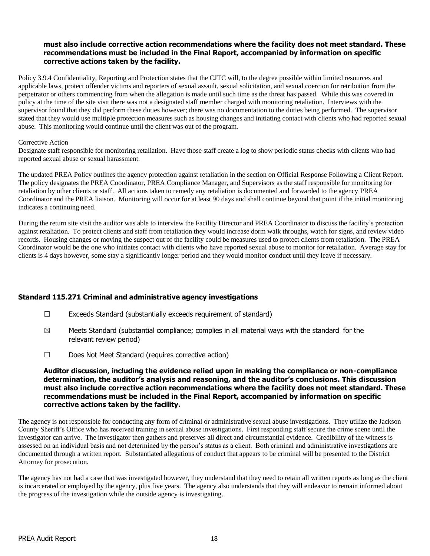#### **must also include corrective action recommendations where the facility does not meet standard. These recommendations must be included in the Final Report, accompanied by information on specific corrective actions taken by the facility.**

Policy 3.9.4 Confidentiality, Reporting and Protection states that the CJTC will, to the degree possible within limited resources and applicable laws, protect offender victims and reporters of sexual assault, sexual solicitation, and sexual coercion for retribution from the perpetrator or others commencing from when the allegation is made until such time as the threat has passed. While this was covered in policy at the time of the site visit there was not a designated staff member charged with monitoring retaliation. Interviews with the supervisor found that they did perform these duties however; there was no documentation to the duties being performed. The supervisor stated that they would use multiple protection measures such as housing changes and initiating contact with clients who had reported sexual abuse. This monitoring would continue until the client was out of the program.

#### Corrective Action

Designate staff responsible for monitoring retaliation. Have those staff create a log to show periodic status checks with clients who had reported sexual abuse or sexual harassment.

The updated PREA Policy outlines the agency protection against retaliation in the section on Official Response Following a Client Report. The policy designates the PREA Coordinator, PREA Compliance Manager, and Supervisors as the staff responsible for monitoring for retaliation by other clients or staff. All actions taken to remedy any retaliation is documented and forwarded to the agency PREA Coordinator and the PREA liaison. Monitoring will occur for at least 90 days and shall continue beyond that point if the initial monitoring indicates a continuing need.

During the return site visit the auditor was able to interview the Facility Director and PREA Coordinator to discuss the facility's protection against retaliation. To protect clients and staff from retaliation they would increase dorm walk throughs, watch for signs, and review video records. Housing changes or moving the suspect out of the facility could be measures used to protect clients from retaliation. The PREA Coordinator would be the one who initiates contact with clients who have reported sexual abuse to monitor for retaliation. Average stay for clients is 4 days however, some stay a significantly longer period and they would monitor conduct until they leave if necessary.

## **Standard 115.271 Criminal and administrative agency investigations**

- ☐ Exceeds Standard (substantially exceeds requirement of standard)
- $\boxtimes$  Meets Standard (substantial compliance; complies in all material ways with the standard for the relevant review period)
- ☐ Does Not Meet Standard (requires corrective action)

#### **Auditor discussion, including the evidence relied upon in making the compliance or non-compliance determination, the auditor's analysis and reasoning, and the auditor's conclusions. This discussion must also include corrective action recommendations where the facility does not meet standard. These recommendations must be included in the Final Report, accompanied by information on specific corrective actions taken by the facility.**

The agency is not responsible for conducting any form of criminal or administrative sexual abuse investigations. They utilize the Jackson County Sheriff's Office who has received training in sexual abuse investigations. First responding staff secure the crime scene until the investigator can arrive. The investigator then gathers and preserves all direct and circumstantial evidence. Credibility of the witness is assessed on an individual basis and not determined by the person's status as a client. Both criminal and administrative investigations are documented through a written report. Substantiated allegations of conduct that appears to be criminal will be presented to the District Attorney for prosecution.

The agency has not had a case that was investigated however, they understand that they need to retain all written reports as long as the client is incarcerated or employed by the agency, plus five years. The agency also understands that they will endeavor to remain informed about the progress of the investigation while the outside agency is investigating.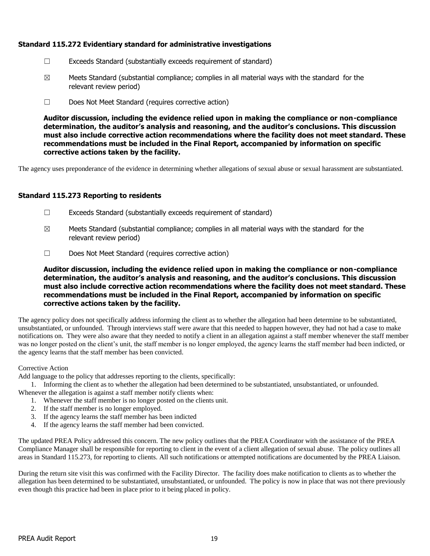## **Standard 115.272 Evidentiary standard for administrative investigations**

- ☐ Exceeds Standard (substantially exceeds requirement of standard)
- $\boxtimes$  Meets Standard (substantial compliance; complies in all material ways with the standard for the relevant review period)
- ☐ Does Not Meet Standard (requires corrective action)

**Auditor discussion, including the evidence relied upon in making the compliance or non-compliance determination, the auditor's analysis and reasoning, and the auditor's conclusions. This discussion must also include corrective action recommendations where the facility does not meet standard. These recommendations must be included in the Final Report, accompanied by information on specific corrective actions taken by the facility.**

The agency uses preponderance of the evidence in determining whether allegations of sexual abuse or sexual harassment are substantiated.

## **Standard 115.273 Reporting to residents**

- $\Box$  Exceeds Standard (substantially exceeds requirement of standard)
- $\boxtimes$  Meets Standard (substantial compliance; complies in all material ways with the standard for the relevant review period)
- ☐ Does Not Meet Standard (requires corrective action)

**Auditor discussion, including the evidence relied upon in making the compliance or non-compliance determination, the auditor's analysis and reasoning, and the auditor's conclusions. This discussion must also include corrective action recommendations where the facility does not meet standard. These recommendations must be included in the Final Report, accompanied by information on specific corrective actions taken by the facility.**

The agency policy does not specifically address informing the client as to whether the allegation had been determine to be substantiated, unsubstantiated, or unfounded. Through interviews staff were aware that this needed to happen however, they had not had a case to make notifications on. They were also aware that they needed to notify a client in an allegation against a staff member whenever the staff member was no longer posted on the client's unit, the staff member is no longer employed, the agency learns the staff member had been indicted, or the agency learns that the staff member has been convicted.

#### Corrective Action

Add language to the policy that addresses reporting to the clients, specifically:

1. Informing the client as to whether the allegation had been determined to be substantiated, unsubstantiated, or unfounded. Whenever the allegation is against a staff member notify clients when:

1. Whenever the staff member is no longer posted on the clients unit.

- 2. If the staff member is no longer employed.
- 3. If the agency learns the staff member has been indicted
- 4. If the agency learns the staff member had been convicted.

The updated PREA Policy addressed this concern. The new policy outlines that the PREA Coordinator with the assistance of the PREA Compliance Manager shall be responsible for reporting to client in the event of a client allegation of sexual abuse. The policy outlines all areas in Standard 115.273, for reporting to clients. All such notifications or attempted notifications are documented by the PREA Liaison.

During the return site visit this was confirmed with the Facility Director. The facility does make notification to clients as to whether the allegation has been determined to be substantiated, unsubstantiated, or unfounded. The policy is now in place that was not there previously even though this practice had been in place prior to it being placed in policy.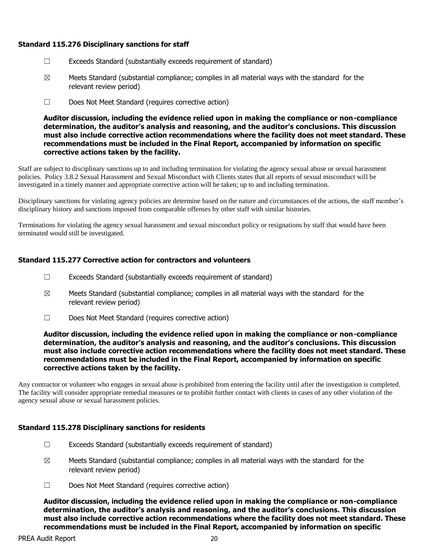## **Standard 115.276 Disciplinary sanctions for staff**

- ☐ Exceeds Standard (substantially exceeds requirement of standard)
- $\boxtimes$  Meets Standard (substantial compliance; complies in all material ways with the standard for the relevant review period)
- ☐ Does Not Meet Standard (requires corrective action)

**Auditor discussion, including the evidence relied upon in making the compliance or non-compliance determination, the auditor's analysis and reasoning, and the auditor's conclusions. This discussion must also include corrective action recommendations where the facility does not meet standard. These recommendations must be included in the Final Report, accompanied by information on specific corrective actions taken by the facility.**

Staff are subject to disciplinary sanctions up to and including termination for violating the agency sexual abuse or sexual harassment policies. Policy 3.8.2 Sexual Harassment and Sexual Misconduct with Clients states that all reports of sexual misconduct will be investigated in a timely manner and appropriate corrective action will be taken; up to and including termination.

Disciplinary sanctions for violating agency policies are determine based on the nature and circumstances of the actions, the staff member's disciplinary history and sanctions imposed from comparable offenses by other staff with similar histories.

Terminations for violating the agency sexual harassment and sexual misconduct policy or resignations by staff that would have been terminated would still be investigated.

## **Standard 115.277 Corrective action for contractors and volunteers**

- ☐ Exceeds Standard (substantially exceeds requirement of standard)
- $\boxtimes$  Meets Standard (substantial compliance; complies in all material ways with the standard for the relevant review period)
- ☐ Does Not Meet Standard (requires corrective action)

**Auditor discussion, including the evidence relied upon in making the compliance or non-compliance determination, the auditor's analysis and reasoning, and the auditor's conclusions. This discussion must also include corrective action recommendations where the facility does not meet standard. These recommendations must be included in the Final Report, accompanied by information on specific corrective actions taken by the facility.**

Any contractor or volunteer who engages in sexual abuse is prohibited from entering the facility until after the investigation is completed. The facility will consider appropriate remedial measures or to prohibit further contact with clients in cases of any other violation of the agency sexual abuse or sexual harassment policies.

#### **Standard 115.278 Disciplinary sanctions for residents**

- ☐ Exceeds Standard (substantially exceeds requirement of standard)
- $\boxtimes$  Meets Standard (substantial compliance; complies in all material ways with the standard for the relevant review period)
- ☐ Does Not Meet Standard (requires corrective action)

**Auditor discussion, including the evidence relied upon in making the compliance or non-compliance determination, the auditor's analysis and reasoning, and the auditor's conclusions. This discussion must also include corrective action recommendations where the facility does not meet standard. These recommendations must be included in the Final Report, accompanied by information on specific**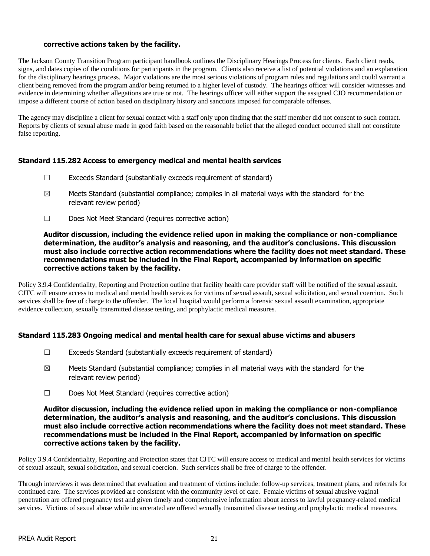## **corrective actions taken by the facility.**

The Jackson County Transition Program participant handbook outlines the Disciplinary Hearings Process for clients. Each client reads, signs, and dates copies of the conditions for participants in the program. Clients also receive a list of potential violations and an explanation for the disciplinary hearings process. Major violations are the most serious violations of program rules and regulations and could warrant a client being removed from the program and/or being returned to a higher level of custody. The hearings officer will consider witnesses and evidence in determining whether allegations are true or not. The hearings officer will either support the assigned CJO recommendation or impose a different course of action based on disciplinary history and sanctions imposed for comparable offenses.

The agency may discipline a client for sexual contact with a staff only upon finding that the staff member did not consent to such contact. Reports by clients of sexual abuse made in good faith based on the reasonable belief that the alleged conduct occurred shall not constitute false reporting.

## **Standard 115.282 Access to emergency medical and mental health services**

- ☐ Exceeds Standard (substantially exceeds requirement of standard)
- $\boxtimes$  Meets Standard (substantial compliance; complies in all material ways with the standard for the relevant review period)
- ☐ Does Not Meet Standard (requires corrective action)

#### **Auditor discussion, including the evidence relied upon in making the compliance or non-compliance determination, the auditor's analysis and reasoning, and the auditor's conclusions. This discussion must also include corrective action recommendations where the facility does not meet standard. These recommendations must be included in the Final Report, accompanied by information on specific corrective actions taken by the facility.**

Policy 3.9.4 Confidentiality, Reporting and Protection outline that facility health care provider staff will be notified of the sexual assault. CJTC will ensure access to medical and mental health services for victims of sexual assault, sexual solicitation, and sexual coercion. Such services shall be free of charge to the offender. The local hospital would perform a forensic sexual assault examination, appropriate evidence collection, sexually transmitted disease testing, and prophylactic medical measures.

## **Standard 115.283 Ongoing medical and mental health care for sexual abuse victims and abusers**

- ☐ Exceeds Standard (substantially exceeds requirement of standard)
- $\boxtimes$  Meets Standard (substantial compliance; complies in all material ways with the standard for the relevant review period)
- ☐ Does Not Meet Standard (requires corrective action)

#### **Auditor discussion, including the evidence relied upon in making the compliance or non-compliance determination, the auditor's analysis and reasoning, and the auditor's conclusions. This discussion must also include corrective action recommendations where the facility does not meet standard. These recommendations must be included in the Final Report, accompanied by information on specific corrective actions taken by the facility.**

Policy 3.9.4 Confidentiality, Reporting and Protection states that CJTC will ensure access to medical and mental health services for victims of sexual assault, sexual solicitation, and sexual coercion. Such services shall be free of charge to the offender.

Through interviews it was determined that evaluation and treatment of victims include: follow-up services, treatment plans, and referrals for continued care. The services provided are consistent with the community level of care. Female victims of sexual abusive vaginal penetration are offered pregnancy test and given timely and comprehensive information about access to lawful pregnancy-related medical services. Victims of sexual abuse while incarcerated are offered sexually transmitted disease testing and prophylactic medical measures.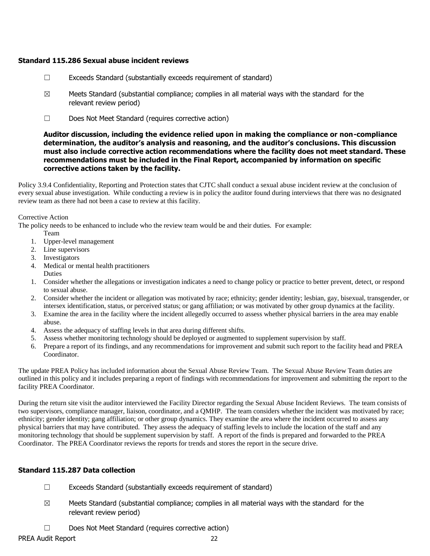#### **Standard 115.286 Sexual abuse incident reviews**

- $\Box$  Exceeds Standard (substantially exceeds requirement of standard)
- $\boxtimes$  Meets Standard (substantial compliance; complies in all material ways with the standard for the relevant review period)
- ☐ Does Not Meet Standard (requires corrective action)

## **Auditor discussion, including the evidence relied upon in making the compliance or non-compliance determination, the auditor's analysis and reasoning, and the auditor's conclusions. This discussion must also include corrective action recommendations where the facility does not meet standard. These recommendations must be included in the Final Report, accompanied by information on specific corrective actions taken by the facility.**

Policy 3.9.4 Confidentiality, Reporting and Protection states that CJTC shall conduct a sexual abuse incident review at the conclusion of every sexual abuse investigation. While conducting a review is in policy the auditor found during interviews that there was no designated review team as there had not been a case to review at this facility.

Corrective Action

The policy needs to be enhanced to include who the review team would be and their duties. For example:

- Team
- 1. Upper-level management
- 2. Line supervisors
- 3. Investigators
- 4. Medical or mental health practitioners Duties
- 1. Consider whether the allegations or investigation indicates a need to change policy or practice to better prevent, detect, or respond to sexual abuse.
- 2. Consider whether the incident or allegation was motivated by race; ethnicity; gender identity; lesbian, gay, bisexual, transgender, or intersex identification, status, or perceived status; or gang affiliation; or was motivated by other group dynamics at the facility.
- 3. Examine the area in the facility where the incident allegedly occurred to assess whether physical barriers in the area may enable abuse.
- 4. Assess the adequacy of staffing levels in that area during different shifts.
- 5. Assess whether monitoring technology should be deployed or augmented to supplement supervision by staff.
- 6. Prepare a report of its findings, and any recommendations for improvement and submit such report to the facility head and PREA Coordinator.

The update PREA Policy has included information about the Sexual Abuse Review Team. The Sexual Abuse Review Team duties are outlined in this policy and it includes preparing a report of findings with recommendations for improvement and submitting the report to the facility PREA Coordinator.

During the return site visit the auditor interviewed the Facility Director regarding the Sexual Abuse Incident Reviews. The team consists of two supervisors, compliance manager, liaison, coordinator, and a QMHP. The team considers whether the incident was motivated by race; ethnicity; gender identity; gang affiliation; or other group dynamics. They examine the area where the incident occurred to assess any physical barriers that may have contributed. They assess the adequacy of staffing levels to include the location of the staff and any monitoring technology that should be supplement supervision by staff. A report of the finds is prepared and forwarded to the PREA Coordinator. The PREA Coordinator reviews the reports for trends and stores the report in the secure drive.

## **Standard 115.287 Data collection**

- ☐ Exceeds Standard (substantially exceeds requirement of standard)
- $\boxtimes$  Meets Standard (substantial compliance; complies in all material ways with the standard for the relevant review period)
- ☐ Does Not Meet Standard (requires corrective action)

PREA Audit Report 22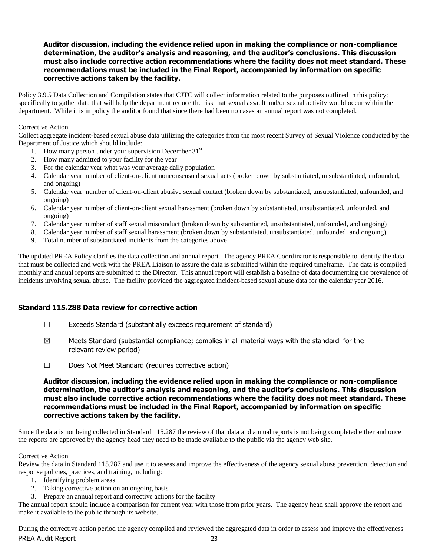#### **Auditor discussion, including the evidence relied upon in making the compliance or non-compliance determination, the auditor's analysis and reasoning, and the auditor's conclusions. This discussion must also include corrective action recommendations where the facility does not meet standard. These recommendations must be included in the Final Report, accompanied by information on specific corrective actions taken by the facility.**

Policy 3.9.5 Data Collection and Compilation states that CJTC will collect information related to the purposes outlined in this policy; specifically to gather data that will help the department reduce the risk that sexual assault and/or sexual activity would occur within the department. While it is in policy the auditor found that since there had been no cases an annual report was not completed.

#### Corrective Action

Collect aggregate incident-based sexual abuse data utilizing the categories from the most recent Survey of Sexual Violence conducted by the Department of Justice which should include:

- 1. How many person under your supervision December  $31<sup>st</sup>$
- 2. How many admitted to your facility for the year
- 3. For the calendar year what was your average daily population
- 4. Calendar year number of client-on-client nonconsensual sexual acts (broken down by substantiated, unsubstantiated, unfounded, and ongoing)
- 5. Calendar year number of client-on-client abusive sexual contact (broken down by substantiated, unsubstantiated, unfounded, and ongoing)
- 6. Calendar year number of client-on-client sexual harassment (broken down by substantiated, unsubstantiated, unfounded, and ongoing)
- 7. Calendar year number of staff sexual misconduct (broken down by substantiated, unsubstantiated, unfounded, and ongoing)
- 8. Calendar year number of staff sexual harassment (broken down by substantiated, unsubstantiated, unfounded, and ongoing)
- 9. Total number of substantiated incidents from the categories above

The updated PREA Policy clarifies the data collection and annual report. The agency PREA Coordinator is responsible to identify the data that must be collected and work with the PREA Liaison to assure the data is submitted within the required timeframe. The data is compiled monthly and annual reports are submitted to the Director. This annual report will establish a baseline of data documenting the prevalence of incidents involving sexual abuse. The facility provided the aggregated incident-based sexual abuse data for the calendar year 2016.

## **Standard 115.288 Data review for corrective action**

- ☐ Exceeds Standard (substantially exceeds requirement of standard)
- $\boxtimes$  Meets Standard (substantial compliance; complies in all material ways with the standard for the relevant review period)
- ☐ Does Not Meet Standard (requires corrective action)

#### **Auditor discussion, including the evidence relied upon in making the compliance or non-compliance determination, the auditor's analysis and reasoning, and the auditor's conclusions. This discussion must also include corrective action recommendations where the facility does not meet standard. These recommendations must be included in the Final Report, accompanied by information on specific corrective actions taken by the facility.**

Since the data is not being collected in Standard 115.287 the review of that data and annual reports is not being completed either and once the reports are approved by the agency head they need to be made available to the public via the agency web site.

#### Corrective Action

Review the data in Standard 115.287 and use it to assess and improve the effectiveness of the agency sexual abuse prevention, detection and response policies, practices, and training, including:

- 1. Identifying problem areas
- 2. Taking corrective action on an ongoing basis
- 3. Prepare an annual report and corrective actions for the facility

The annual report should include a comparison for current year with those from prior years. The agency head shall approve the report and make it available to the public through its website.

PREA Audit Report 23 During the corrective action period the agency compiled and reviewed the aggregated data in order to assess and improve the effectiveness